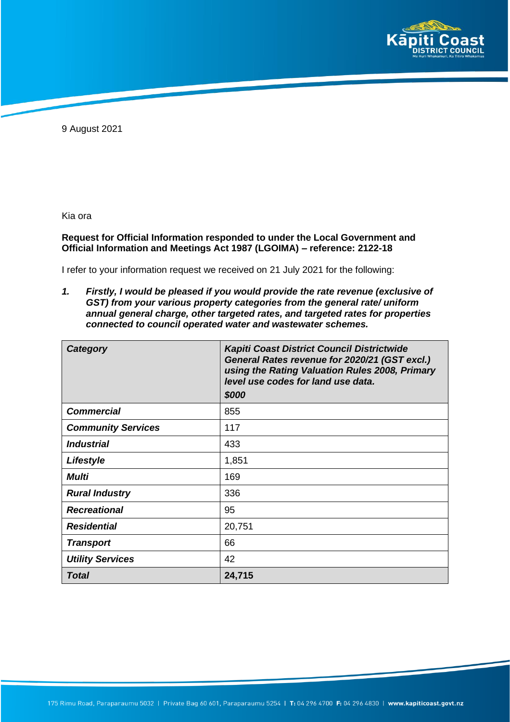

9 August 2021

Kia ora

## **Request for Official Information responded to under the Local Government and Official Information and Meetings Act 1987 (LGOIMA) – reference: 2122-18**

I refer to your information request we received on 21 July 2021 for the following:

*1. Firstly, I would be pleased if you would provide the rate revenue (exclusive of GST) from your various property categories from the general rate/ uniform annual general charge, other targeted rates, and targeted rates for properties connected to council operated water and wastewater schemes.*

| Category                  | Kapiti Coast District Council Districtwide<br>General Rates revenue for 2020/21 (GST excl.)<br>using the Rating Valuation Rules 2008, Primary<br>level use codes for land use data.<br>\$000 |
|---------------------------|----------------------------------------------------------------------------------------------------------------------------------------------------------------------------------------------|
| <b>Commercial</b>         | 855                                                                                                                                                                                          |
| <b>Community Services</b> | 117                                                                                                                                                                                          |
| <i><b>Industrial</b></i>  | 433                                                                                                                                                                                          |
| Lifestyle                 | 1,851                                                                                                                                                                                        |
| Multi                     | 169                                                                                                                                                                                          |
| <b>Rural Industry</b>     | 336                                                                                                                                                                                          |
| <b>Recreational</b>       | 95                                                                                                                                                                                           |
| <b>Residential</b>        | 20,751                                                                                                                                                                                       |
| <b>Transport</b>          | 66                                                                                                                                                                                           |
| <b>Utility Services</b>   | 42                                                                                                                                                                                           |
| Total                     | 24,715                                                                                                                                                                                       |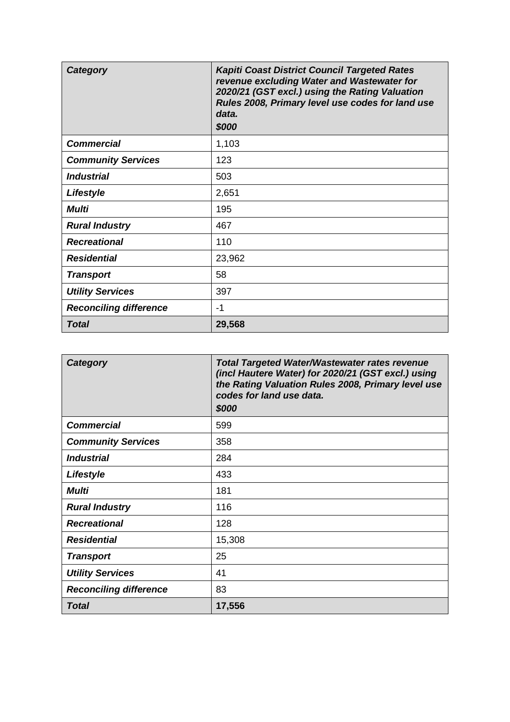| <b>Category</b>               | <b>Kapiti Coast District Council Targeted Rates</b><br>revenue excluding Water and Wastewater for<br>2020/21 (GST excl.) using the Rating Valuation<br>Rules 2008, Primary level use codes for land use<br>data.<br>\$000 |
|-------------------------------|---------------------------------------------------------------------------------------------------------------------------------------------------------------------------------------------------------------------------|
| <b>Commercial</b>             | 1,103                                                                                                                                                                                                                     |
| <b>Community Services</b>     | 123                                                                                                                                                                                                                       |
| <b>Industrial</b>             | 503                                                                                                                                                                                                                       |
| Lifestyle                     | 2,651                                                                                                                                                                                                                     |
| <b>Multi</b>                  | 195                                                                                                                                                                                                                       |
| <b>Rural Industry</b>         | 467                                                                                                                                                                                                                       |
| <b>Recreational</b>           | 110                                                                                                                                                                                                                       |
| <b>Residential</b>            | 23,962                                                                                                                                                                                                                    |
| <b>Transport</b>              | 58                                                                                                                                                                                                                        |
| <b>Utility Services</b>       | 397                                                                                                                                                                                                                       |
| <b>Reconciling difference</b> | -1                                                                                                                                                                                                                        |
| <b>Total</b>                  | 29,568                                                                                                                                                                                                                    |

| <b>Category</b>               | <b>Total Targeted Water/Wastewater rates revenue</b><br>(incl Hautere Water) for 2020/21 (GST excl.) using<br>the Rating Valuation Rules 2008, Primary level use<br>codes for land use data.<br>\$000 |
|-------------------------------|-------------------------------------------------------------------------------------------------------------------------------------------------------------------------------------------------------|
| <b>Commercial</b>             | 599                                                                                                                                                                                                   |
| <b>Community Services</b>     | 358                                                                                                                                                                                                   |
| <i><b>Industrial</b></i>      | 284                                                                                                                                                                                                   |
| Lifestyle                     | 433                                                                                                                                                                                                   |
| Multi                         | 181                                                                                                                                                                                                   |
| <b>Rural Industry</b>         | 116                                                                                                                                                                                                   |
| <b>Recreational</b>           | 128                                                                                                                                                                                                   |
| <b>Residential</b>            | 15,308                                                                                                                                                                                                |
| <b>Transport</b>              | 25                                                                                                                                                                                                    |
| <b>Utility Services</b>       | 41                                                                                                                                                                                                    |
| <b>Reconciling difference</b> | 83                                                                                                                                                                                                    |
| <b>Total</b>                  | 17,556                                                                                                                                                                                                |